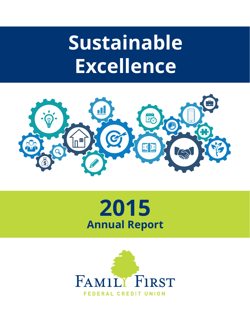# **Sustainable Excellence**





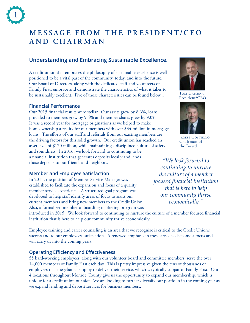# **MESSAGE FROM THE PRESIDENT/CEO and ChairMan**

## **Understanding and Embracing Sustainable Excellence.**

A credit union that embraces the philosophy of sustainable excellence is well positioned to be a vital part of the community, today, and into the future. Our Board of Directors, along with the dedicated staff and volunteers of Family First, embrace and demonstrate the characteristics of what it takes to be sustainably excellent. Five of those characteristics can be found below...

## **Financial Performance**

Our 2015 financial results were stellar. Our assets grew by 8.6%, loans provided to members grew by 9.4% and member shares grew by 9.0%. It was a record year for mortgage originations as we helped to make homeownership a reality for our members with over \$34 million in mortgage loans. The efforts of our staff and referrals from our existing members are the driving factors for this solid growth. Our credit union has reached an asset level of \$170 million, while maintaining a disciplined culture of safety and soundness. In 2016, we look forward to continuing to be a financial institution that generates deposits locally and lends those deposits to our friends and neighbors.

## **Member and Employee Satisfaction**

In 2015, the position of Member Service Manager was established to facilitate the expansion and focus of a quality member service experience. A structured goal program was developed to help staff identify areas of focus to assist our current members and bring new members to the Credit Union. Also, a formalized member onboarding marketing program was

introduced in 2015. We look forward to continuing to nurture the culture of a member focused financial institution that is here to help our community thrive economically.

Employee training and career counseling is an area that we recognize is critical to the Credit Union's success and to our employees' satisfaction. A renewed emphasis in these areas has become a focus and will carry us into the coming years.

## **Operating Efficiency and Effectiveness**

55 hard-working employees, along with our volunteer board and committee members, serve the over 14,000 members of Family First each day. This is pretty impressive given the tens of thousands of employees that megabanks employ to deliver their service, which is typically subpar to Family First. Our 4 locations throughout Monroe County give us the opportunity to expand our membership, which is unique for a credit union our size. We are looking to further diversify our portfolio in the coming year as we expand lending and deposit services for business members.



TOM DAMBRA President/CEO



JAMES COSTELLO Chairman of the Board

*"We look forward to continuing to nurture the culture of a member focused financial institution that is here to help our community thrive economically."*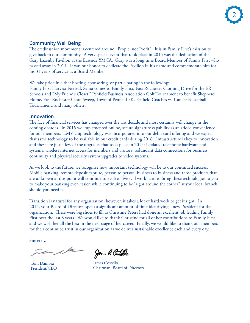

## **Community Well Being**

The credit union movement is centered around "People, not Profit". It is in Family First's mission to give back to our community. A very special event that took place in 2015 was the dedication of the Gary Lazenby Pavilion at the Eastside YMCA. Gary was a long time Board Member of Family First who passed away in 2014. It was our honor to dedicate the Pavilion in his name and commemorate him for his 31 years of service as a Board Member.

We take pride in either hosting, sponsoring, or participating in the following: Family First Harvest Festival, Santa comes to Family First, East Rochester Clothing Drive for the ER Schools and "My Friend's Closet," Penfield Business Association Golf Tournament to benefit Shepherd Home, East Rochester Clean Sweep, Town of Penfield 5K, Penfield Coaches vs. Cancer Basketball Tournament, and many others.

#### **Innovation**

The face of financial services has changed over the last decade and most certainly will change in the coming decades. In 2015 we implemented online, secure signature capability as an added convenience for our members. EMV chip technology was incorporated into our debit card offering and we expect that same technology to be available in our credit cards during 2016. Infrastructure is key to innovation and these are just a few of the upgrades that took place in 2015: Updated telephone hardware and systems, wireless internet access for members and visitors, redundant data connections for business continuity and physical security system upgrades to video systems.

As we look to the future, we recognize how important technology will be to our continued success. Mobile banking, remote deposit capture, person to person, business to business and those products that are unknown at this point will continue to evolve. We will work hard to bring these technologies to you to make your banking even easier, while continuing to be "right around the corner" at your local branch should you need us.

Transition is natural for any organization, however, it takes a lot of hard work to get it right. In 2015, your Board of Directors spent a significant amount of time identifying a new President for the organization. These were big shoes to fill as Christine Peters had done an excellent job leading Family First over the last 8 years. We would like to thank Christine for all of her contributions to Family First and we wish her all the best in the next stage of her career. Finally, we would like to thank our members for their continued trust in our organization as we deliver sustainable excellence each and every day.

Sincerely,

 $\sqrt{k}$ 

Tom Dambra President/CEO

Jom P. Contells

James Costello Chairman, Board of Directors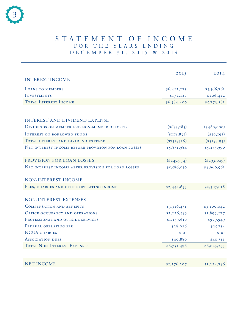

## STATEMENT OF INCOME FOR THE YEARS ENDING D E C E M B E R 31, 2015 & 2014

|                                                      | 2015          | 20I4         |
|------------------------------------------------------|---------------|--------------|
| <b>INTEREST INCOME</b>                               |               |              |
| LOANS TO MEMBERS                                     | \$6,412,273   | \$5,566,761  |
| <b>INVESTMENTS</b>                                   | \$172,127     | \$206,422    |
| <b>TOTAL INTEREST INCOME</b>                         | \$6,584,400   | \$5,773,183  |
|                                                      |               |              |
| <b>INTEREST AND DIVIDEND EXPENSE</b>                 |               |              |
| DIVIDENDS ON MEMBER AND NON-MEMBER DEPOSITS          | $*(633,585)$  | $(*480,000)$ |
| <b>INTEREST ON BORROWED FUNDS</b>                    | ( \$118, 831) | $(*39,193)$  |
| TOTAL INTEREST AND DIVIDEND EXPENSE                  | $(*752, 416)$ | $(*519,193)$ |
| NET INTEREST INCOME BEFORE PROVISION FOR LOAN LOSSES | \$5,831,984   | \$5,253,990  |
|                                                      |               |              |
| PROVISION FOR LOAN LOSSES                            | $(*245,934)$  | $(*293,029)$ |
| NET INTEREST INCOME AFTER PROVISION FOR LOAN LOSSES  | \$5,586,050   | \$4,960,961  |
|                                                      |               |              |
| NON-INTEREST INCOME                                  |               |              |
| FEES, CHARGES AND OTHER OPERATING INCOME             | \$2,441,653   | \$2,307,018  |
|                                                      |               |              |
| NON-INTEREST EXPENSES                                |               |              |
| <b>COMPENSATION AND BENEFITS</b>                     | \$3,316,431   | \$3,100,042  |
| <b>OFFICE OCCUPANCY AND OPERATIONS</b>               | \$2,226,549   | \$1,899,177  |
| PROFESSIONAL AND OUTSIDE SERVICES                    | \$1,139,610   | \$977,949    |
| FEDERAL OPERATING FEE                                | \$28,026      | \$25,754     |
| <b>NCUA CHARGES</b>                                  | $$ -0 -$      | $$ -0 -$     |
| <b>ASSOCIATION DUES</b>                              | \$40,880      | \$40,311     |
| <b>TOTAL NON-INTEREST EXPENSES</b>                   | \$6,751,496   | \$6,043,233  |
|                                                      |               |              |
| <b>NET INCOME</b>                                    | \$1,276,207   | \$1,224,746  |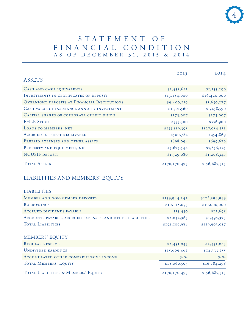## STATEMENT OF financial condition A s of D ecember 31, 2015 & 2014

|                                              | 2015          | 20I4          |
|----------------------------------------------|---------------|---------------|
| <b>ASSETS</b>                                |               |               |
| CASH AND CASH EQUIVALENTS                    | \$1,433,612   | \$I, I55, 290 |
| INVESTMENTS IN CERTIFICATES OF DEPOSIT       | \$13,184,000  | \$16,420,000  |
| OVERNIGHT DEPOSITS AT FINANCIAL INSTITUTIONS | \$9,400,119   | \$1,650,177   |
| CASH VALUE OF INSURANCE ANNUITY INVESTMENT   | \$1,501,560   | \$1,458,590   |
| CAPITAL SHARES OF CORPORATE CREDIT UNION     | \$173,007     | \$173,007     |
| <b>FHLB STOCK</b>                            | \$555,300     | \$556,900     |
| LOANS TO MEMBERS, NET                        | \$135,519,395 | \$127,054,331 |
| <b>ACCRUED INTEREST RECEIVABLE</b>           | \$500,782     | \$454,869     |
| PREPAID EXPENSES AND OTHER ASSETS            | \$898,094     | \$699,679     |
| PROPERTY AND EQUIPMENT, NET                  | \$5,675,544   | \$5,856,125   |
| <b>NCUSIF DEPOSIT</b>                        | \$1,329,080   | \$1,208,347   |
| <b>TOTAL ASSETS</b>                          | \$170,170,493 | \$156,687,315 |

## LIABILITIES AND MEMBERS' EQUITY

### LIABILITIES

| MEMBER AND NON-MEMBER DEPOSITS                            | \$139,944,142 | \$128,394,949 |
|-----------------------------------------------------------|---------------|---------------|
| <b>BORROWINGS</b>                                         | \$10,118,053  | \$10,000,000  |
| ACCRUED DIVIDENDS PAYABLE                                 | \$15,430      | \$12,695      |
| ACCOUNTS PAYABLE, ACCRUED EXPENSES, AND OTHER LIABILITIES | \$2,032,363   | \$1,495,373   |
| <b>TOTAL LIABILITIES</b>                                  | \$152,109,988 | \$139,903,017 |

## MEMBERS' EQUITY

| REGULAR RESERVE                        | \$2,451,043   | \$2,451,043   |
|----------------------------------------|---------------|---------------|
| UNDIVIDED EARNINGS                     | \$15,609,462  | \$I4,333,255  |
| ACCUMULATED OTHER COMPREHENSIVE INCOME | $S - O -$     | $S - O -$     |
| TOTAL MEMBERS' EQUITY                  | \$18,060,505  | \$16,784,298  |
| TOTAL LIABILITIES & MEMBERS' EQUITY    | \$170,170,493 | \$156,687,315 |

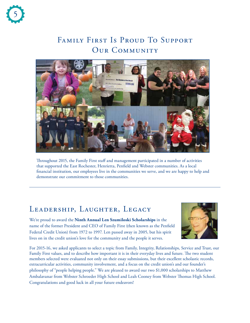

# FAMILY FIRST IS PROUD TO SUPPORT OUR COMMUNITY



Throughout 2015, the Family First staff and management participated in a number of activities that supported the East Rochester, Henrietta, Penfield and Webster communities. As a local financial institution, our employees live in the communities we serve, and we are happy to help and demonstrate our commitment to those communities.

# LEADERSHIP, LAUGHTER, LEGACY

We're proud to award the **Ninth Annual Len Szumiloski Scholarships** in the name of the former President and CEO of Family First (then known as the Penfield Federal Credit Union) from 1972 to 1997. Len passed away in 2005, but his spirit lives on in the credit union's love for the community and the people it serves.



For 2015-16, we asked applicants to select a topic from Family, Integrity, Relationships, Service and Trust, our Family First values, and to describe how important it is in their everyday lives and future. The two student members selected were evaluated not only on their essay submissions, but their excellent scholastic records, extracurricular activities, community involvement, and a focus on the credit union's and our founder's philosophy of "people helping people." We are pleased to award our two \$1,000 scholarships to Matthew Ambalavanar from Webster Schroeder High School and Leah Cooney from Webster Thomas High School. Congratulations and good luck in all your future endeavors!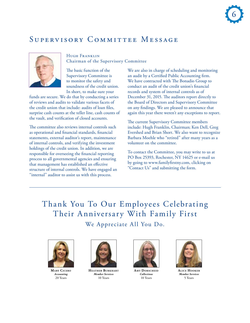# Supervisory Committee Message



Hugh Franklin Chairman of the Supervisory Committee

The basic function of the Supervisory Committee is to monitor the safety and soundness of the credit union. In short, to make sure your

funds are secure. We do that by conducting a series of reviews and audits to validate various facets of the credit union that include: audits of loan files, surprise cash counts at the teller line, cash counts of the vault, and verification of closed accounts.

The committee also reviews internal controls such as operational and financial standards, financial statements, external auditor's report, maintenance of internal controls, and verifying the investment holdings of the credit union. In addition, we are responsible for overseeing the financial reporting process to all governmental agencies and ensuring that management has established an effective structure of internal controls. We have engaged an "internal" auditor to assist us with this process.

We are also in charge of scheduling and monitoring an audit by a Certified Public Accounting firm. We have contracted with The Bonadio Group to conduct an audit of the credit union's financial records and system of internal controls as of December 31, 2015. The auditors report directly to the Board of Directors and Supervisory Committee on any findings. We are pleased to announce that again this year there weren't any exceptions to report.

The current Supervisory Committee members include: Hugh Franklin, Chairman; Ken Dell, Greg Evershed and Brian Short. We also want to recognize Barbara Moehle who "retired" after many years as a volunteer on the committee.

To contact the Committee, you may write to us at PO Box 25393, Rochester, NY 14625 or e-mail us by going to www.familyfirstny.com, clicking on "Contact Us" and submitting the form.

Thank You To Our Employees Celebrating Their Anniversary With Family First We Appreciate All You Do.



**Mary Cicero** *Accounting* 20 Years



**Heather Bur khart** *Member Services* 10 Years



**AMY DORSCHEID** *Collections* 10 Years



**Alice Hook er** *Member Services* 5 Years